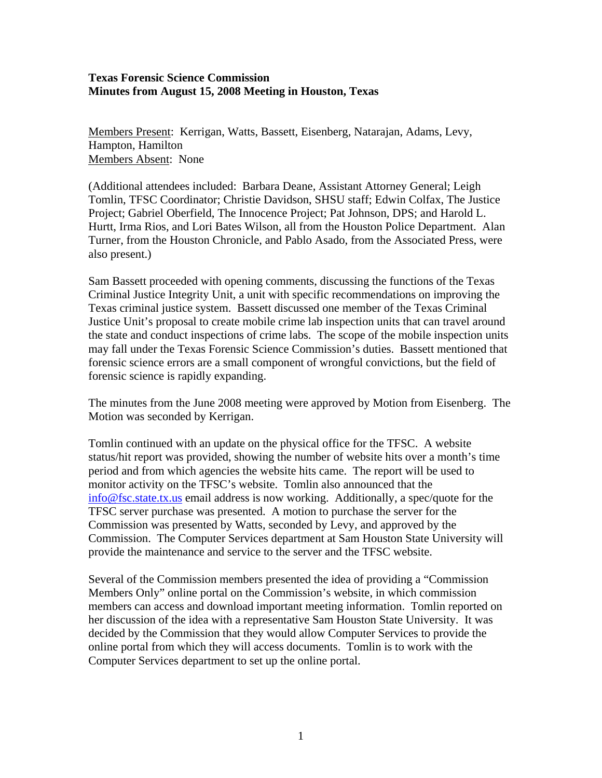## **Texas Forensic Science Commission Minutes from August 15, 2008 Meeting in Houston, Texas**

Members Present: Kerrigan, Watts, Bassett, Eisenberg, Natarajan, Adams, Levy, Hampton, Hamilton Members Absent: None

(Additional attendees included: Barbara Deane, Assistant Attorney General; Leigh Tomlin, TFSC Coordinator; Christie Davidson, SHSU staff; Edwin Colfax, The Justice Project; Gabriel Oberfield, The Innocence Project; Pat Johnson, DPS; and Harold L. Hurtt, Irma Rios, and Lori Bates Wilson, all from the Houston Police Department. Alan Turner, from the Houston Chronicle, and Pablo Asado, from the Associated Press, were also present.)

Sam Bassett proceeded with opening comments, discussing the functions of the Texas Criminal Justice Integrity Unit, a unit with specific recommendations on improving the Texas criminal justice system. Bassett discussed one member of the Texas Criminal Justice Unit's proposal to create mobile crime lab inspection units that can travel around the state and conduct inspections of crime labs. The scope of the mobile inspection units may fall under the Texas Forensic Science Commission's duties. Bassett mentioned that forensic science errors are a small component of wrongful convictions, but the field of forensic science is rapidly expanding.

The minutes from the June 2008 meeting were approved by Motion from Eisenberg. The Motion was seconded by Kerrigan.

Tomlin continued with an update on the physical office for the TFSC. A website status/hit report was provided, showing the number of website hits over a month's time period and from which agencies the website hits came. The report will be used to monitor activity on the TFSC's website. Tomlin also announced that the [info@fsc.state.tx.us](mailto:info@fsc.state.tx.us) email address is now working. Additionally, a spec/quote for the TFSC server purchase was presented. A motion to purchase the server for the Commission was presented by Watts, seconded by Levy, and approved by the Commission. The Computer Services department at Sam Houston State University will provide the maintenance and service to the server and the TFSC website.

Several of the Commission members presented the idea of providing a "Commission Members Only" online portal on the Commission's website, in which commission members can access and download important meeting information. Tomlin reported on her discussion of the idea with a representative Sam Houston State University. It was decided by the Commission that they would allow Computer Services to provide the online portal from which they will access documents. Tomlin is to work with the Computer Services department to set up the online portal.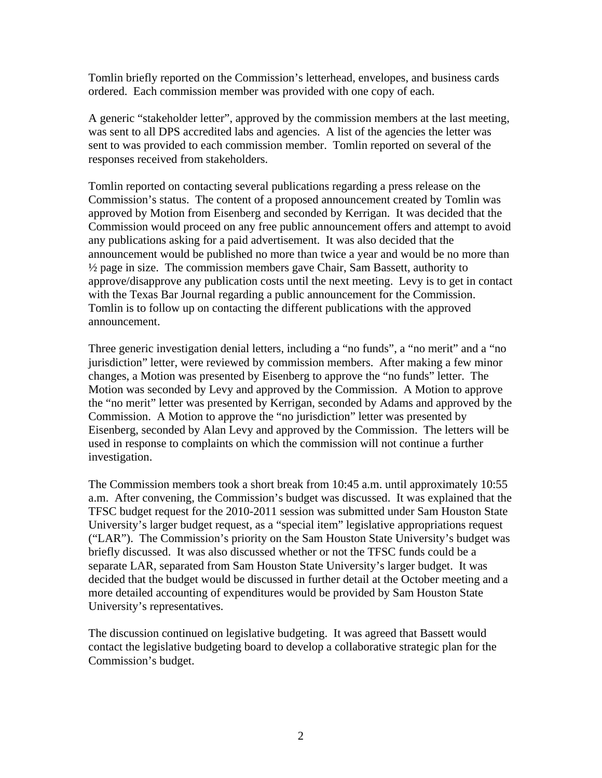Tomlin briefly reported on the Commission's letterhead, envelopes, and business cards ordered. Each commission member was provided with one copy of each.

A generic "stakeholder letter", approved by the commission members at the last meeting, was sent to all DPS accredited labs and agencies. A list of the agencies the letter was sent to was provided to each commission member. Tomlin reported on several of the responses received from stakeholders.

Tomlin reported on contacting several publications regarding a press release on the Commission's status. The content of a proposed announcement created by Tomlin was approved by Motion from Eisenberg and seconded by Kerrigan. It was decided that the Commission would proceed on any free public announcement offers and attempt to avoid any publications asking for a paid advertisement. It was also decided that the announcement would be published no more than twice a year and would be no more than  $\frac{1}{2}$  page in size. The commission members gave Chair, Sam Bassett, authority to approve/disapprove any publication costs until the next meeting. Levy is to get in contact with the Texas Bar Journal regarding a public announcement for the Commission. Tomlin is to follow up on contacting the different publications with the approved announcement.

Three generic investigation denial letters, including a "no funds", a "no merit" and a "no jurisdiction" letter, were reviewed by commission members. After making a few minor changes, a Motion was presented by Eisenberg to approve the "no funds" letter. The Motion was seconded by Levy and approved by the Commission. A Motion to approve the "no merit" letter was presented by Kerrigan, seconded by Adams and approved by the Commission. A Motion to approve the "no jurisdiction" letter was presented by Eisenberg, seconded by Alan Levy and approved by the Commission. The letters will be used in response to complaints on which the commission will not continue a further investigation.

The Commission members took a short break from 10:45 a.m. until approximately 10:55 a.m. After convening, the Commission's budget was discussed. It was explained that the TFSC budget request for the 2010-2011 session was submitted under Sam Houston State University's larger budget request, as a "special item" legislative appropriations request ("LAR"). The Commission's priority on the Sam Houston State University's budget was briefly discussed. It was also discussed whether or not the TFSC funds could be a separate LAR, separated from Sam Houston State University's larger budget. It was decided that the budget would be discussed in further detail at the October meeting and a more detailed accounting of expenditures would be provided by Sam Houston State University's representatives.

The discussion continued on legislative budgeting. It was agreed that Bassett would contact the legislative budgeting board to develop a collaborative strategic plan for the Commission's budget.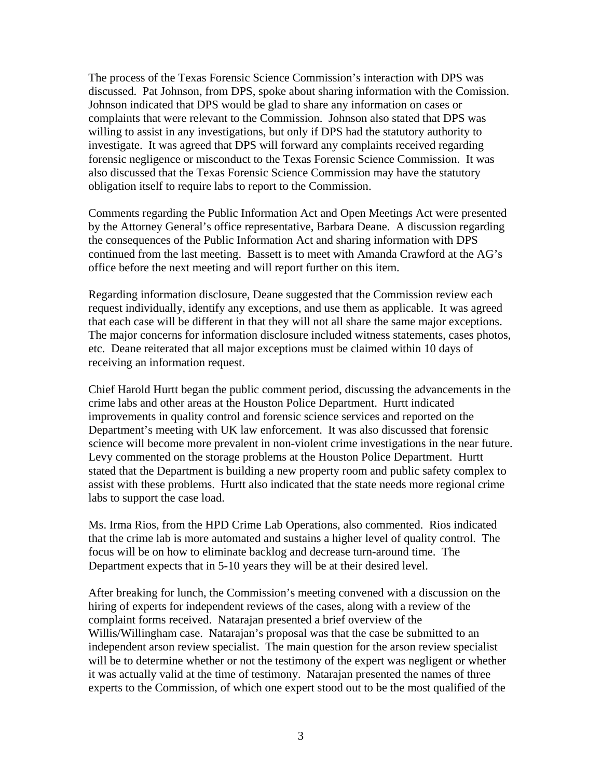The process of the Texas Forensic Science Commission's interaction with DPS was discussed. Pat Johnson, from DPS, spoke about sharing information with the Comission. Johnson indicated that DPS would be glad to share any information on cases or complaints that were relevant to the Commission. Johnson also stated that DPS was willing to assist in any investigations, but only if DPS had the statutory authority to investigate. It was agreed that DPS will forward any complaints received regarding forensic negligence or misconduct to the Texas Forensic Science Commission. It was also discussed that the Texas Forensic Science Commission may have the statutory obligation itself to require labs to report to the Commission.

Comments regarding the Public Information Act and Open Meetings Act were presented by the Attorney General's office representative, Barbara Deane. A discussion regarding the consequences of the Public Information Act and sharing information with DPS continued from the last meeting. Bassett is to meet with Amanda Crawford at the AG's office before the next meeting and will report further on this item.

Regarding information disclosure, Deane suggested that the Commission review each request individually, identify any exceptions, and use them as applicable. It was agreed that each case will be different in that they will not all share the same major exceptions. The major concerns for information disclosure included witness statements, cases photos, etc. Deane reiterated that all major exceptions must be claimed within 10 days of receiving an information request.

Chief Harold Hurtt began the public comment period, discussing the advancements in the crime labs and other areas at the Houston Police Department. Hurtt indicated improvements in quality control and forensic science services and reported on the Department's meeting with UK law enforcement. It was also discussed that forensic science will become more prevalent in non-violent crime investigations in the near future. Levy commented on the storage problems at the Houston Police Department. Hurtt stated that the Department is building a new property room and public safety complex to assist with these problems. Hurtt also indicated that the state needs more regional crime labs to support the case load.

Ms. Irma Rios, from the HPD Crime Lab Operations, also commented. Rios indicated that the crime lab is more automated and sustains a higher level of quality control. The focus will be on how to eliminate backlog and decrease turn-around time. The Department expects that in 5-10 years they will be at their desired level.

After breaking for lunch, the Commission's meeting convened with a discussion on the hiring of experts for independent reviews of the cases, along with a review of the complaint forms received. Natarajan presented a brief overview of the Willis/Willingham case. Natarajan's proposal was that the case be submitted to an independent arson review specialist. The main question for the arson review specialist will be to determine whether or not the testimony of the expert was negligent or whether it was actually valid at the time of testimony. Natarajan presented the names of three experts to the Commission, of which one expert stood out to be the most qualified of the